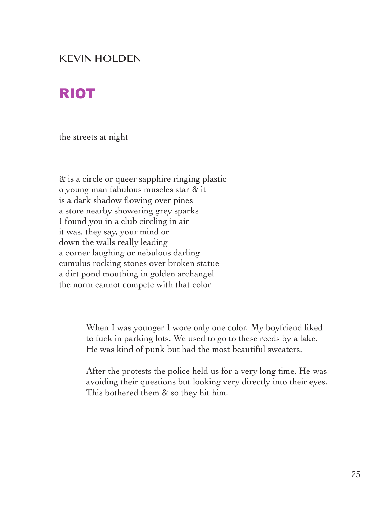## KEVIN HOLDEN

## RIOT

the streets at night

& is a circle or queer sapphire ringing plastic o young man fabulous muscles star & it is a dark shadow flowing over pines a store nearby showering grey sparks I found you in a club circling in air it was, they say, your mind or down the walls really leading a corner laughing or nebulous darling cumulus rocking stones over broken statue a dirt pond mouthing in golden archangel the norm cannot compete with that color

> When I was younger I wore only one color. My boyfriend liked to fuck in parking lots. We used to go to these reeds by a lake. He was kind of punk but had the most beautiful sweaters.

After the protests the police held us for a very long time. He was avoiding their questions but looking very directly into their eyes. This bothered them & so they hit him.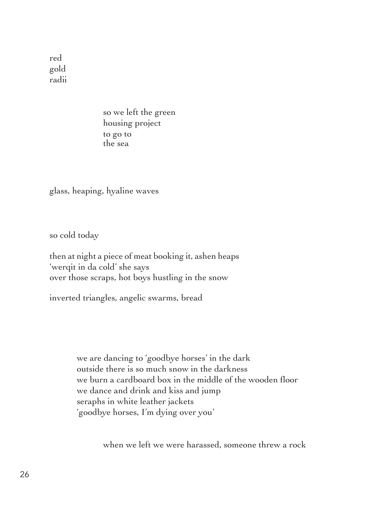red gold radii

> so we left the green housing project to go to the sea

glass, heaping, hyaline waves

so cold today

then at night a piece of meat booking it, ashen heaps 'werqit in da cold' she says over those scraps, hot boys hustling in the snow

inverted triangles, angelic swarms, bread

we are dancing to 'goodbye horses' in the dark outside there is so much snow in the darkness we burn a cardboard box in the middle of the wooden floor we dance and drink and kiss and jump seraphs in white leather jackets 'goodbye horses, I'm dying over you'

when we left we were harassed, someone threw a rock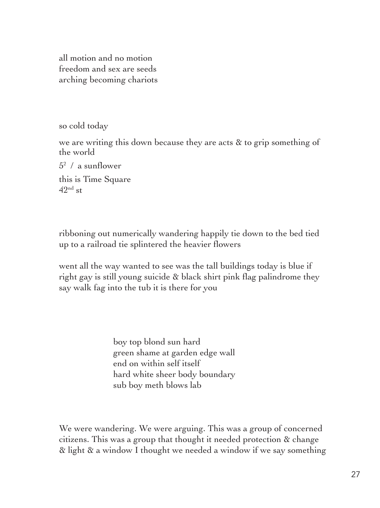all motion and no motion freedom and sex are seeds arching becoming chariots

so cold today

we are writing this down because they are acts & to grip something of the world

 $5^2$  / a sunflower this is Time Square  $42<sup>nd</sup>$  st

ribboning out numerically wandering happily tie down to the bed tied up to a railroad tie splintered the heavier flowers

went all the way wanted to see was the tall buildings today is blue if right gay is still young suicide & black shirt pink flag palindrome they say walk fag into the tub it is there for you

> boy top blond sun hard green shame at garden edge wall end on within self itself hard white sheer body boundary sub boy meth blows lab

We were wandering. We were arguing. This was a group of concerned citizens. This was a group that thought it needed protection & change & light & a window I thought we needed a window if we say something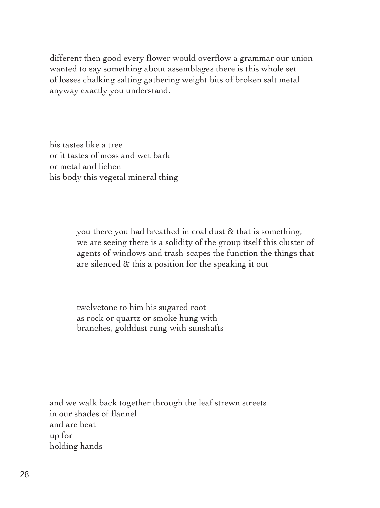different then good every flower would overflow a grammar our union wanted to say something about assemblages there is this whole set of losses chalking salting gathering weight bits of broken salt metal anyway exactly you understand.

his tastes like a tree or it tastes of moss and wet bark or metal and lichen his body this vegetal mineral thing

> you there you had breathed in coal dust & that is something, we are seeing there is a solidity of the group itself this cluster of agents of windows and trash-scapes the function the things that are silenced & this a position for the speaking it out

twelvetone to him his sugared root as rock or quartz or smoke hung with branches, golddust rung with sunshafts

and we walk back together through the leaf strewn streets in our shades of flannel and are beat up for holding hands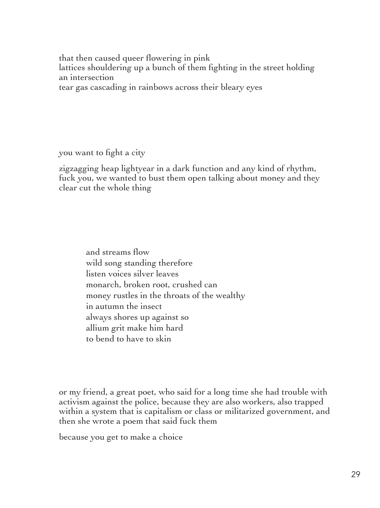that then caused queer flowering in pink lattices shouldering up a bunch of them fighting in the street holding an intersection tear gas cascading in rainbows across their bleary eyes

you want to fight a city

zigzagging heap lightyear in a dark function and any kind of rhythm, fuck you, we wanted to bust them open talking about money and they clear cut the whole thing

> and streams flow wild song standing therefore listen voices silver leaves monarch, broken root, crushed can money rustles in the throats of the wealthy in autumn the insect always shores up against so allium grit make him hard to bend to have to skin

or my friend, a great poet, who said for a long time she had trouble with activism against the police, because they are also workers, also trapped within a system that is capitalism or class or militarized government, and then she wrote a poem that said fuck them

because you get to make a choice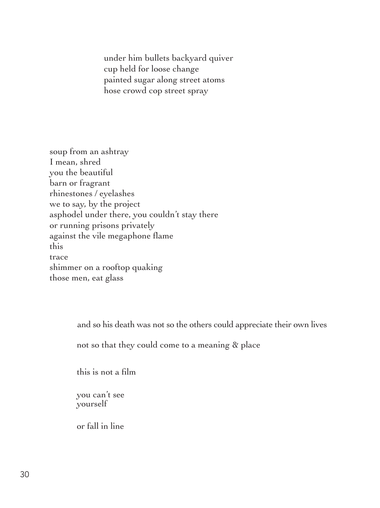under him bullets backyard quiver cup held for loose change painted sugar along street atoms hose crowd cop street spray

soup from an ashtray I mean, shred you the beautiful barn or fragrant rhinestones / eyelashes we to say, by the project asphodel under there, you couldn't stay there or running prisons privately against the vile megaphone flame this trace shimmer on a rooftop quaking those men, eat glass

and so his death was not so the others could appreciate their own lives

not so that they could come to a meaning & place

this is not a film

you can't see yourself

or fall in line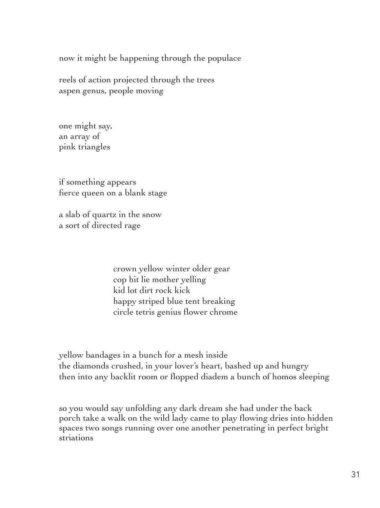now it might be happening through the populace

reels of action projected through the trees aspen genus, people moving

one might say, an array of pink triangles

if something appears fierce queen on a blank stage

a slab of quartz in the snow a sort of directed rage

> crown yellow winter older gear cop hit lie mother yelling kid lot dirt rock kick happy striped blue tent breaking circle tetris genius flower chrome

yellow bandages in a bunch for a mesh inside the diamonds crushed, in your lover's heart, bashed up and hungry then into any backlit room or flopped diadem a bunch of homos sleeping

so you would say unfolding any dark dream she had under the back porch take a walk on the wild lady came to play flowing dries into hidden spaces two songs running over one another penetrating in perfect bright striations